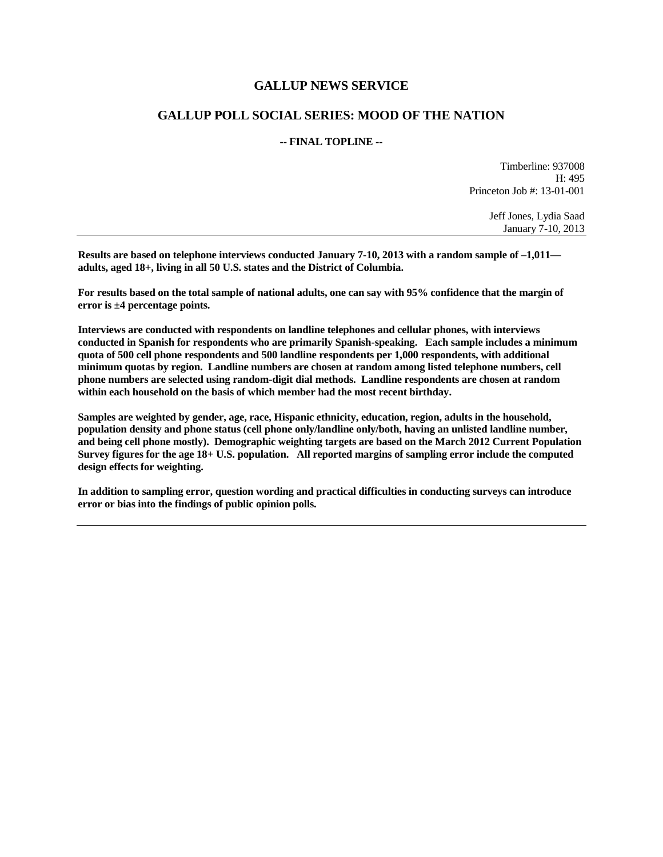### **GALLUP NEWS SERVICE**

## **GALLUP POLL SOCIAL SERIES: MOOD OF THE NATION**

#### **-- FINAL TOPLINE --**

Timberline: 937008 H: 495 Princeton Job #: 13-01-001

> Jeff Jones, Lydia Saad January 7-10, 2013

**Results are based on telephone interviews conducted January 7-10, 2013 with a random sample of –1,011 adults, aged 18+, living in all 50 U.S. states and the District of Columbia.** 

**For results based on the total sample of national adults, one can say with 95% confidence that the margin of error is ±4 percentage points.**

**Interviews are conducted with respondents on landline telephones and cellular phones, with interviews conducted in Spanish for respondents who are primarily Spanish-speaking. Each sample includes a minimum quota of 500 cell phone respondents and 500 landline respondents per 1,000 respondents, with additional minimum quotas by region. Landline numbers are chosen at random among listed telephone numbers, cell phone numbers are selected using random-digit dial methods. Landline respondents are chosen at random within each household on the basis of which member had the most recent birthday.** 

**Samples are weighted by gender, age, race, Hispanic ethnicity, education, region, adults in the household, population density and phone status (cell phone only/landline only/both, having an unlisted landline number, and being cell phone mostly). Demographic weighting targets are based on the March 2012 Current Population Survey figures for the age 18+ U.S. population. All reported margins of sampling error include the computed design effects for weighting.** 

**In addition to sampling error, question wording and practical difficulties in conducting surveys can introduce error or bias into the findings of public opinion polls.**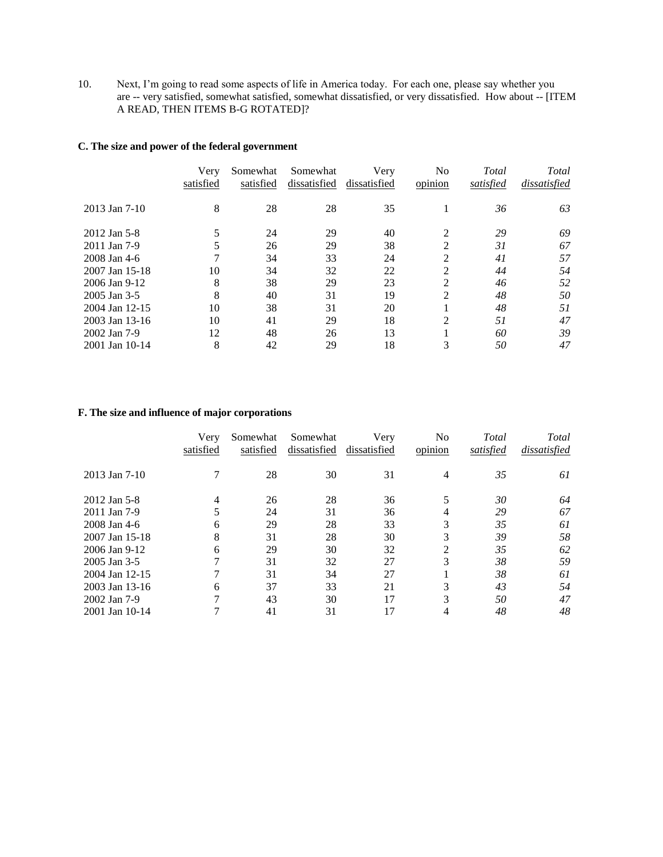10. Next, I'm going to read some aspects of life in America today. For each one, please say whether you are -- very satisfied, somewhat satisfied, somewhat dissatisfied, or very dissatisfied.How about -- [ITEM A READ, THEN ITEMS B-G ROTATED]?

#### **C. The size and power of the federal government**

|                 | Very<br>satisfied | Somewhat<br>satisfied | Somewhat<br>dissatisfied | Very<br>dissatisfied | N <sub>0</sub><br>opinion | Total<br>satisfied | Total<br>dissatisfied |
|-----------------|-------------------|-----------------------|--------------------------|----------------------|---------------------------|--------------------|-----------------------|
| $2013$ Jan 7-10 | 8                 | 28                    | 28                       | 35                   |                           | 36                 | 63                    |
| 2012 Jan 5-8    | 5                 | 24                    | 29                       | 40                   | 2                         | 29                 | 69                    |
| 2011 Jan 7-9    | 5                 | 26                    | 29                       | 38                   | $\mathfrak{D}$            | 31                 | 67                    |
| 2008 Jan 4-6    |                   | 34                    | 33                       | 24                   | 2                         | 41                 | 57                    |
| 2007 Jan 15-18  | 10                | 34                    | 32                       | 22                   | $\mathfrak{D}$            | 44                 | 54                    |
| 2006 Jan 9-12   | 8                 | 38                    | 29                       | 23                   | $\mathfrak{D}$            | 46                 | 52                    |
| 2005 Jan 3-5    | 8                 | 40                    | 31                       | 19                   | 2                         | 48                 | 50                    |
| 2004 Jan 12-15  | 10                | 38                    | 31                       | 20                   |                           | 48                 | 51                    |
| 2003 Jan 13-16  | 10                | 41                    | 29                       | 18                   | $\mathfrak{D}$            | 51                 | 47                    |
| 2002 Jan 7-9    | 12                | 48                    | 26                       | 13                   |                           | 60                 | 39                    |
| 2001 Jan 10-14  | 8                 | 42                    | 29                       | 18                   | 3                         | 50                 | 47                    |

#### **F. The size and influence of major corporations**

|                | Very<br>satisfied | Somewhat<br>satisfied | Somewhat<br>dissatisfied | Very<br>dissatisfied | No<br>opinion  | Total<br>satisfied | Total<br>dissatisfied |
|----------------|-------------------|-----------------------|--------------------------|----------------------|----------------|--------------------|-----------------------|
| 2013 Jan 7-10  | 7                 | 28                    | 30                       | 31                   | 4              | 35                 | 61                    |
| 2012 Jan 5-8   | 4                 | 26                    | 28                       | 36                   | 5              | 30                 | 64                    |
| 2011 Jan 7-9   | 5                 | 24                    | 31                       | 36                   | 4              | 29                 | 67                    |
| 2008 Jan 4-6   | 6                 | 29                    | 28                       | 33                   | 3              | 35                 | 61                    |
| 2007 Jan 15-18 | 8                 | 31                    | 28                       | 30                   | 3              | 39                 | 58                    |
| 2006 Jan 9-12  | 6                 | 29                    | 30                       | 32                   | $\mathfrak{D}$ | 35                 | 62                    |
| 2005 Jan 3-5   | 7                 | 31                    | 32                       | 27                   | 3              | 38                 | 59                    |
| 2004 Jan 12-15 |                   | 31                    | 34                       | 27                   |                | 38                 | 61                    |
| 2003 Jan 13-16 | 6                 | 37                    | 33                       | 21                   | 3              | 43                 | 54                    |
| 2002 Jan 7-9   | 7                 | 43                    | 30                       | 17                   | 3              | 50                 | 47                    |
| 2001 Jan 10-14 |                   | 41                    | 31                       | 17                   | 4              | 48                 | 48                    |